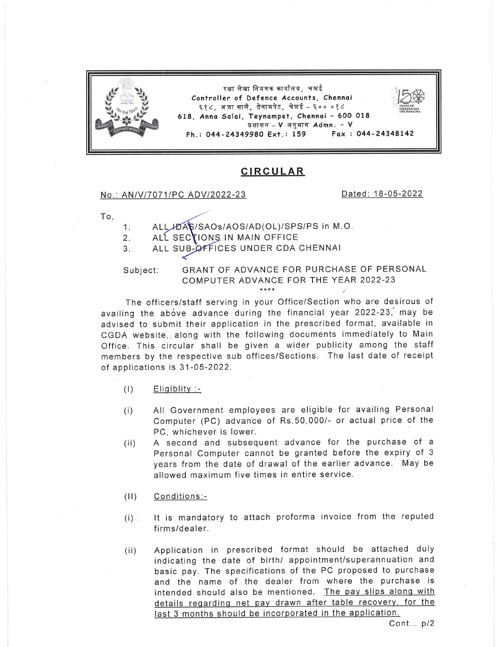

## **CIRCULAR**

## No.: AN/V/7071/PC ADV/2022-23 Dated: 18-05-2022

To,

- 1. ALL,HDAS/SAOS/AOS/AD(OL)/SPS/PS in M.O.
- 2. ALL SECTIONS IN MAIN OFFICE
- 3. ALL SUB-OFFICES UNDER CDA CHENNAI

Subject:

## GRANT OF ADVANCE FOR PURCHASE OF PERSONAL COMPUTER ADVANCE FOR THE YEAR 2022-23

The officers/staff serving in your Office/Section who are desirous of availing the above advance during the financial year 2022-23, may be advised to submit their application in the prescribed format, available in CGDA website, along with the following documents immediately to Main Office. This circular shall be given a wider publicity among the staff members by the respective sub offices/Sections. The last date of receipt of applications is 31-05-2022.

- $(1)$  Eligiblity:-
- (i) All Government employees are eligible for availing Personal Computer (PC) advance of Rs.50,000/- or actual price of the PC, whichever is lower.
- (ii) A second and subsequent advance for the purchase of <sup>a</sup> Personal Computer cannot be granted before the expiry of <sup>3</sup> years from the date of drawal of the earlier advance. May be allowed maximum five times in entire service.
- (ll) Conditions:-
- $(i)$ It is mandatory to attach proforma invoice from the reputed firms/dealer.
- (ii) Application in prescribed format should be attached duly indicating the date of birth/ appointment/superannuation and basic pay. The specifications of the PC proposed to purchase and the name of the dealer from where the purchase is intended should also be mentioned. The pay slips along with details reqardinq net pav drawn after table recoverv, for the last 3 months should be incorporated in the application.

 $Cont... p/2$